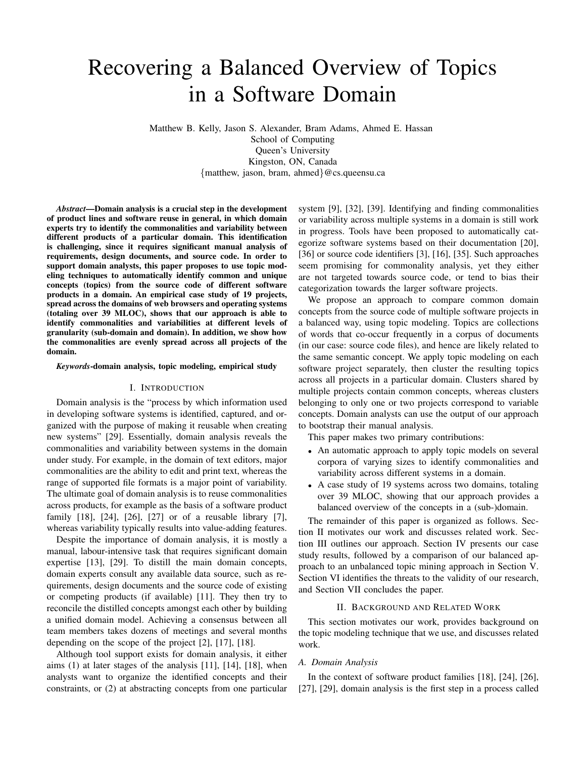# Recovering a Balanced Overview of Topics in a Software Domain

Matthew B. Kelly, Jason S. Alexander, Bram Adams, Ahmed E. Hassan School of Computing Queen's University Kingston, ON, Canada {matthew, jason, bram, ahmed}@cs.queensu.ca

*Abstract*—Domain analysis is a crucial step in the development of product lines and software reuse in general, in which domain experts try to identify the commonalities and variability between different products of a particular domain. This identification is challenging, since it requires significant manual analysis of requirements, design documents, and source code. In order to support domain analysts, this paper proposes to use topic modeling techniques to automatically identify common and unique concepts (topics) from the source code of different software products in a domain. An empirical case study of 19 projects, spread across the domains of web browsers and operating systems (totaling over 39 MLOC), shows that our approach is able to identify commonalities and variabilities at different levels of granularity (sub-domain and domain). In addition, we show how the commonalities are evenly spread across all projects of the domain.

*Keywords*-domain analysis, topic modeling, empirical study

#### I. INTRODUCTION

Domain analysis is the "process by which information used in developing software systems is identified, captured, and organized with the purpose of making it reusable when creating new systems" [29]. Essentially, domain analysis reveals the commonalities and variability between systems in the domain under study. For example, in the domain of text editors, major commonalities are the ability to edit and print text, whereas the range of supported file formats is a major point of variability. The ultimate goal of domain analysis is to reuse commonalities across products, for example as the basis of a software product family [18], [24], [26], [27] or of a reusable library [7], whereas variability typically results into value-adding features.

Despite the importance of domain analysis, it is mostly a manual, labour-intensive task that requires significant domain expertise [13], [29]. To distill the main domain concepts, domain experts consult any available data source, such as requirements, design documents and the source code of existing or competing products (if available) [11]. They then try to reconcile the distilled concepts amongst each other by building a unified domain model. Achieving a consensus between all team members takes dozens of meetings and several months depending on the scope of the project [2], [17], [18].

Although tool support exists for domain analysis, it either aims (1) at later stages of the analysis [11], [14], [18], when analysts want to organize the identified concepts and their constraints, or (2) at abstracting concepts from one particular system [9], [32], [39]. Identifying and finding commonalities or variability across multiple systems in a domain is still work in progress. Tools have been proposed to automatically categorize software systems based on their documentation [20], [36] or source code identifiers [3], [16], [35]. Such approaches seem promising for commonality analysis, yet they either are not targeted towards source code, or tend to bias their categorization towards the larger software projects.

We propose an approach to compare common domain concepts from the source code of multiple software projects in a balanced way, using topic modeling. Topics are collections of words that co-occur frequently in a corpus of documents (in our case: source code files), and hence are likely related to the same semantic concept. We apply topic modeling on each software project separately, then cluster the resulting topics across all projects in a particular domain. Clusters shared by multiple projects contain common concepts, whereas clusters belonging to only one or two projects correspond to variable concepts. Domain analysts can use the output of our approach to bootstrap their manual analysis.

This paper makes two primary contributions:

- An automatic approach to apply topic models on several corpora of varying sizes to identify commonalities and variability across different systems in a domain.
- A case study of 19 systems across two domains, totaling over 39 MLOC, showing that our approach provides a balanced overview of the concepts in a (sub-)domain.

The remainder of this paper is organized as follows. Section II motivates our work and discusses related work. Section III outlines our approach. Section IV presents our case study results, followed by a comparison of our balanced approach to an unbalanced topic mining approach in Section V. Section VI identifies the threats to the validity of our research, and Section VII concludes the paper.

#### II. BACKGROUND AND RELATED WORK

This section motivates our work, provides background on the topic modeling technique that we use, and discusses related work.

#### *A. Domain Analysis*

In the context of software product families [18], [24], [26], [27], [29], domain analysis is the first step in a process called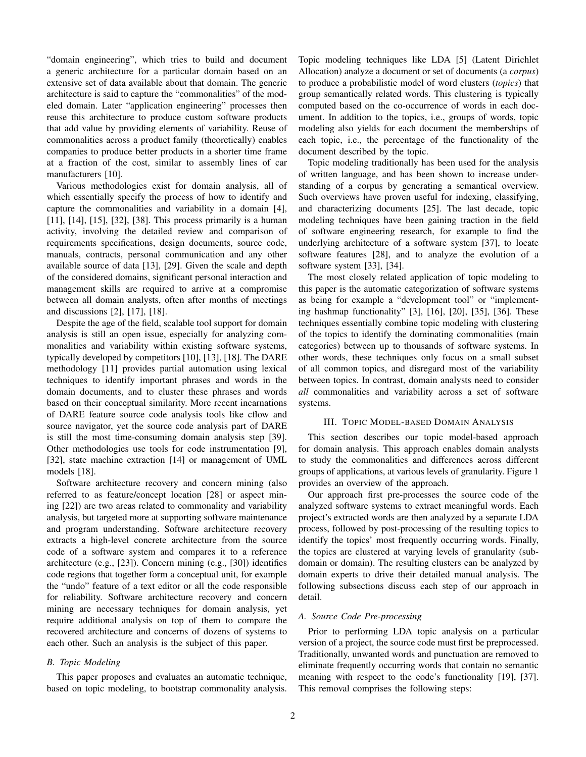"domain engineering", which tries to build and document a generic architecture for a particular domain based on an extensive set of data available about that domain. The generic architecture is said to capture the "commonalities" of the modeled domain. Later "application engineering" processes then reuse this architecture to produce custom software products that add value by providing elements of variability. Reuse of commonalities across a product family (theoretically) enables companies to produce better products in a shorter time frame at a fraction of the cost, similar to assembly lines of car manufacturers [10].

Various methodologies exist for domain analysis, all of which essentially specify the process of how to identify and capture the commonalities and variability in a domain [4], [11], [14], [15], [32], [38]. This process primarily is a human activity, involving the detailed review and comparison of requirements specifications, design documents, source code, manuals, contracts, personal communication and any other available source of data [13], [29]. Given the scale and depth of the considered domains, significant personal interaction and management skills are required to arrive at a compromise between all domain analysts, often after months of meetings and discussions [2], [17], [18].

Despite the age of the field, scalable tool support for domain analysis is still an open issue, especially for analyzing commonalities and variability within existing software systems, typically developed by competitors [10], [13], [18]. The DARE methodology [11] provides partial automation using lexical techniques to identify important phrases and words in the domain documents, and to cluster these phrases and words based on their conceptual similarity. More recent incarnations of DARE feature source code analysis tools like cflow and source navigator, yet the source code analysis part of DARE is still the most time-consuming domain analysis step [39]. Other methodologies use tools for code instrumentation [9], [32], state machine extraction [14] or management of UML models [18].

Software architecture recovery and concern mining (also referred to as feature/concept location [28] or aspect mining [22]) are two areas related to commonality and variability analysis, but targeted more at supporting software maintenance and program understanding. Software architecture recovery extracts a high-level concrete architecture from the source code of a software system and compares it to a reference architecture (e.g., [23]). Concern mining (e.g., [30]) identifies code regions that together form a conceptual unit, for example the "undo" feature of a text editor or all the code responsible for reliability. Software architecture recovery and concern mining are necessary techniques for domain analysis, yet require additional analysis on top of them to compare the recovered architecture and concerns of dozens of systems to each other. Such an analysis is the subject of this paper.

## *B. Topic Modeling*

This paper proposes and evaluates an automatic technique, based on topic modeling, to bootstrap commonality analysis. Topic modeling techniques like LDA [5] (Latent Dirichlet Allocation) analyze a document or set of documents (a *corpus*) to produce a probabilistic model of word clusters (*topics*) that group semantically related words. This clustering is typically computed based on the co-occurrence of words in each document. In addition to the topics, i.e., groups of words, topic modeling also yields for each document the memberships of each topic, i.e., the percentage of the functionality of the document described by the topic.

Topic modeling traditionally has been used for the analysis of written language, and has been shown to increase understanding of a corpus by generating a semantical overview. Such overviews have proven useful for indexing, classifying, and characterizing documents [25]. The last decade, topic modeling techniques have been gaining traction in the field of software engineering research, for example to find the underlying architecture of a software system [37], to locate software features [28], and to analyze the evolution of a software system [33], [34].

The most closely related application of topic modeling to this paper is the automatic categorization of software systems as being for example a "development tool" or "implementing hashmap functionality" [3], [16], [20], [35], [36]. These techniques essentially combine topic modeling with clustering of the topics to identify the dominating commonalities (main categories) between up to thousands of software systems. In other words, these techniques only focus on a small subset of all common topics, and disregard most of the variability between topics. In contrast, domain analysts need to consider *all* commonalities and variability across a set of software systems.

#### III. TOPIC MODEL-BASED DOMAIN ANALYSIS

This section describes our topic model-based approach for domain analysis. This approach enables domain analysts to study the commonalities and differences across different groups of applications, at various levels of granularity. Figure 1 provides an overview of the approach.

Our approach first pre-processes the source code of the analyzed software systems to extract meaningful words. Each project's extracted words are then analyzed by a separate LDA process, followed by post-processing of the resulting topics to identify the topics' most frequently occurring words. Finally, the topics are clustered at varying levels of granularity (subdomain or domain). The resulting clusters can be analyzed by domain experts to drive their detailed manual analysis. The following subsections discuss each step of our approach in detail.

## *A. Source Code Pre-processing*

Prior to performing LDA topic analysis on a particular version of a project, the source code must first be preprocessed. Traditionally, unwanted words and punctuation are removed to eliminate frequently occurring words that contain no semantic meaning with respect to the code's functionality [19], [37]. This removal comprises the following steps: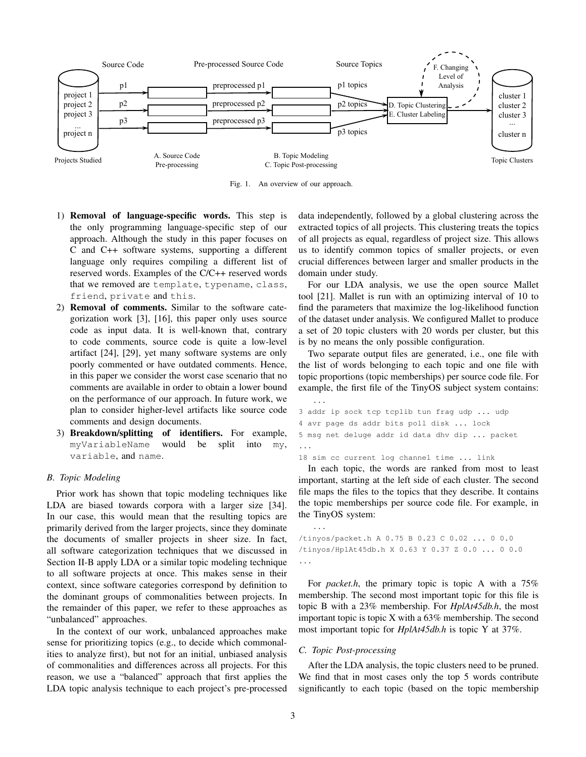

Fig. 1. An overview of our approach.

- 1) Removal of language-specific words. This step is the only programming language-specific step of our approach. Although the study in this paper focuses on C and C++ software systems, supporting a different language only requires compiling a different list of reserved words. Examples of the C/C++ reserved words that we removed are template, typename, class, friend, private and this.
- 2) Removal of comments. Similar to the software categorization work [3], [16], this paper only uses source code as input data. It is well-known that, contrary to code comments, source code is quite a low-level artifact [24], [29], yet many software systems are only poorly commented or have outdated comments. Hence, in this paper we consider the worst case scenario that no comments are available in order to obtain a lower bound on the performance of our approach. In future work, we plan to consider higher-level artifacts like source code comments and design documents.
- 3) Breakdown/splitting of identifiers. For example, myVariableName would be split into my, variable, and name.

## *B. Topic Modeling*

Prior work has shown that topic modeling techniques like LDA are biased towards corpora with a larger size [34]. In our case, this would mean that the resulting topics are primarily derived from the larger projects, since they dominate the documents of smaller projects in sheer size. In fact, all software categorization techniques that we discussed in Section II-B apply LDA or a similar topic modeling technique to all software projects at once. This makes sense in their context, since software categories correspond by definition to the dominant groups of commonalities between projects. In the remainder of this paper, we refer to these approaches as "unbalanced" approaches.

In the context of our work, unbalanced approaches make sense for prioritizing topics (e.g., to decide which commonalities to analyze first), but not for an initial, unbiased analysis of commonalities and differences across all projects. For this reason, we use a "balanced" approach that first applies the LDA topic analysis technique to each project's pre-processed data independently, followed by a global clustering across the extracted topics of all projects. This clustering treats the topics of all projects as equal, regardless of project size. This allows us to identify common topics of smaller projects, or even crucial differences between larger and smaller products in the domain under study.

For our LDA analysis, we use the open source Mallet tool [21]. Mallet is run with an optimizing interval of 10 to find the parameters that maximize the log-likelihood function of the dataset under analysis. We configured Mallet to produce a set of 20 topic clusters with 20 words per cluster, but this is by no means the only possible configuration.

Two separate output files are generated, i.e., one file with the list of words belonging to each topic and one file with topic proportions (topic memberships) per source code file. For example, the first file of the TinyOS subject system contains:

```
...
3 addr ip sock tcp tcplib tun frag udp ... udp
4 avr page ds addr bits poll disk ... lock
5 msg net deluge addr id data dhv dip ... packet
...
```
18 sim cc current log channel time ... link

In each topic, the words are ranked from most to least important, starting at the left side of each cluster. The second file maps the files to the topics that they describe. It contains the topic memberships per source code file. For example, in the TinyOS system:

```
...
/tinyos/packet.h A 0.75 B 0.23 C 0.02 ... 0 0.0
/tinyos/HplAt45db.h X 0.63 Y 0.37 Z 0.0 ... 0 0.0
...
```
For *packet.h*, the primary topic is topic A with a 75% membership. The second most important topic for this file is topic B with a 23% membership. For *HplAt45db.h*, the most important topic is topic X with a 63% membership. The second most important topic for *HplAt45db.h* is topic Y at 37%.

#### *C. Topic Post-processing*

After the LDA analysis, the topic clusters need to be pruned. We find that in most cases only the top 5 words contribute significantly to each topic (based on the topic membership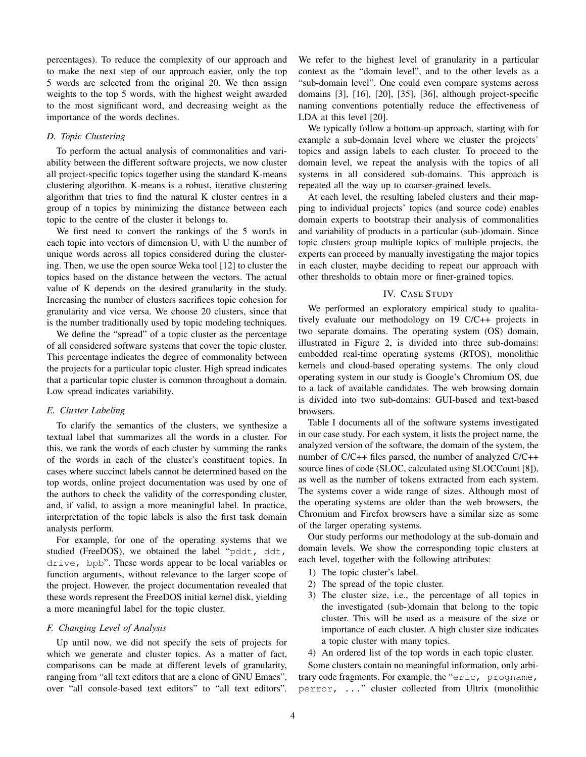percentages). To reduce the complexity of our approach and to make the next step of our approach easier, only the top 5 words are selected from the original 20. We then assign weights to the top 5 words, with the highest weight awarded to the most significant word, and decreasing weight as the importance of the words declines.

## *D. Topic Clustering*

To perform the actual analysis of commonalities and variability between the different software projects, we now cluster all project-specific topics together using the standard K-means clustering algorithm. K-means is a robust, iterative clustering algorithm that tries to find the natural K cluster centres in a group of n topics by minimizing the distance between each topic to the centre of the cluster it belongs to.

We first need to convert the rankings of the 5 words in each topic into vectors of dimension U, with U the number of unique words across all topics considered during the clustering. Then, we use the open source Weka tool [12] to cluster the topics based on the distance between the vectors. The actual value of K depends on the desired granularity in the study. Increasing the number of clusters sacrifices topic cohesion for granularity and vice versa. We choose 20 clusters, since that is the number traditionally used by topic modeling techniques.

We define the "spread" of a topic cluster as the percentage of all considered software systems that cover the topic cluster. This percentage indicates the degree of commonality between the projects for a particular topic cluster. High spread indicates that a particular topic cluster is common throughout a domain. Low spread indicates variability.

## *E. Cluster Labeling*

To clarify the semantics of the clusters, we synthesize a textual label that summarizes all the words in a cluster. For this, we rank the words of each cluster by summing the ranks of the words in each of the cluster's constituent topics. In cases where succinct labels cannot be determined based on the top words, online project documentation was used by one of the authors to check the validity of the corresponding cluster, and, if valid, to assign a more meaningful label. In practice, interpretation of the topic labels is also the first task domain analysts perform.

For example, for one of the operating systems that we studied (FreeDOS), we obtained the label "pddt, ddt, drive, bpb". These words appear to be local variables or function arguments, without relevance to the larger scope of the project. However, the project documentation revealed that these words represent the FreeDOS initial kernel disk, yielding a more meaningful label for the topic cluster.

#### *F. Changing Level of Analysis*

Up until now, we did not specify the sets of projects for which we generate and cluster topics. As a matter of fact, comparisons can be made at different levels of granularity, ranging from "all text editors that are a clone of GNU Emacs", over "all console-based text editors" to "all text editors".

We refer to the highest level of granularity in a particular context as the "domain level", and to the other levels as a "sub-domain level". One could even compare systems across domains [3], [16], [20], [35], [36], although project-specific naming conventions potentially reduce the effectiveness of LDA at this level [20].

We typically follow a bottom-up approach, starting with for example a sub-domain level where we cluster the projects' topics and assign labels to each cluster. To proceed to the domain level, we repeat the analysis with the topics of all systems in all considered sub-domains. This approach is repeated all the way up to coarser-grained levels.

At each level, the resulting labeled clusters and their mapping to individual projects' topics (and source code) enables domain experts to bootstrap their analysis of commonalities and variability of products in a particular (sub-)domain. Since topic clusters group multiple topics of multiple projects, the experts can proceed by manually investigating the major topics in each cluster, maybe deciding to repeat our approach with other thresholds to obtain more or finer-grained topics.

### IV. CASE STUDY

We performed an exploratory empirical study to qualitatively evaluate our methodology on 19 C/C++ projects in two separate domains. The operating system (OS) domain, illustrated in Figure 2, is divided into three sub-domains: embedded real-time operating systems (RTOS), monolithic kernels and cloud-based operating systems. The only cloud operating system in our study is Google's Chromium OS, due to a lack of available candidates. The web browsing domain is divided into two sub-domains: GUI-based and text-based browsers.

Table I documents all of the software systems investigated in our case study. For each system, it lists the project name, the analyzed version of the software, the domain of the system, the number of C/C++ files parsed, the number of analyzed C/C++ source lines of code (SLOC, calculated using SLOCCount [8]), as well as the number of tokens extracted from each system. The systems cover a wide range of sizes. Although most of the operating systems are older than the web browsers, the Chromium and Firefox browsers have a similar size as some of the larger operating systems.

Our study performs our methodology at the sub-domain and domain levels. We show the corresponding topic clusters at each level, together with the following attributes:

- 1) The topic cluster's label.
- 2) The spread of the topic cluster.
- 3) The cluster size, i.e., the percentage of all topics in the investigated (sub-)domain that belong to the topic cluster. This will be used as a measure of the size or importance of each cluster. A high cluster size indicates a topic cluster with many topics.
- 4) An ordered list of the top words in each topic cluster.

Some clusters contain no meaningful information, only arbitrary code fragments. For example, the "eric, progname, perror, ..." cluster collected from Ultrix (monolithic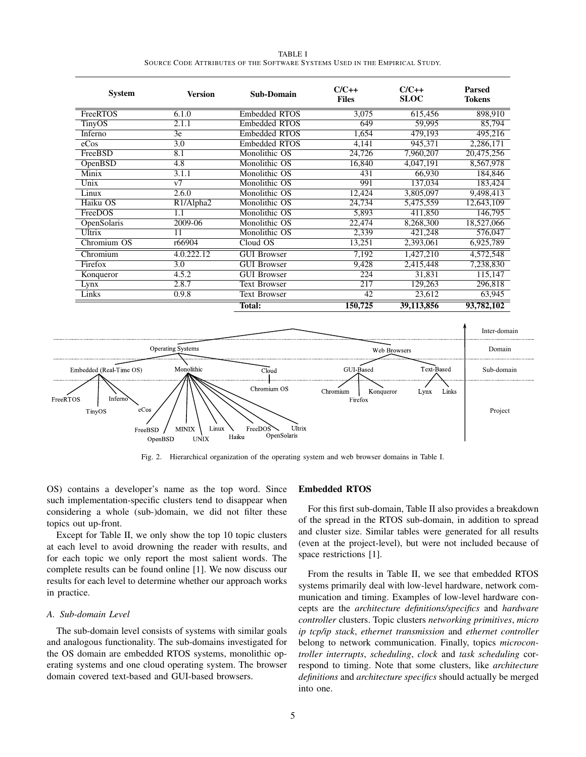| TABLE I                                                                     |  |  |  |  |  |
|-----------------------------------------------------------------------------|--|--|--|--|--|
| SOURCE CODE ATTRIBUTES OF THE SOFTWARE SYSTEMS USED IN THE EMPIRICAL STUDY. |  |  |  |  |  |

| <b>System</b>            | <b>Version</b>                     | Sub-Domain           | $C/C++$<br><b>Files</b> | $C/C++$<br><b>SLOC</b> | <b>Parsed</b><br><b>Tokens</b> |
|--------------------------|------------------------------------|----------------------|-------------------------|------------------------|--------------------------------|
| FreeRTOS                 | 6.1.0                              | <b>Embedded RTOS</b> | 3,075                   | 615,456                | 898,910                        |
| TinyOS                   | 2.1.1                              | <b>Embedded RTOS</b> | 649                     | 59,995                 | 85,794                         |
| Inferno                  | 3e                                 | <b>Embedded RTOS</b> | 1,654                   | 479,193                | 495,216                        |
| eCos                     | 3.0                                | <b>Embedded RTOS</b> | 4,141                   | 945,371                | 2,286,171                      |
| FreeBSD                  | 8.1                                | Monolithic OS        | 24,726                  | 7,960,207              | 20,475,256                     |
| OpenBSD                  | 4.8                                | Monolithic OS        | 16,840                  | 4,047,191              | 8,567,978                      |
| Minix                    | 3.1.1                              | Monolithic OS        | 431                     | 66,930                 | 184,846                        |
| Unix                     | v7                                 | Monolithic OS        | 991                     | 137,034                | 183,424                        |
| Linux                    | 2.6.0                              | Monolithic OS        | 12,424                  | 3,805,097              | 9,498,413                      |
| Haiku OS                 | R <sub>1</sub> /Alpha <sub>2</sub> | Monolithic OS        | 24,734                  | 5,475,559              | 12,643,109                     |
| FreeDOS                  | 1.1                                | Monolithic OS        | 5,893                   | 411,850                | 146,795                        |
| OpenSolaris              | 2009-06                            | Monolithic OS        | 22,474                  | 8,268,300              | 18,527,066                     |
| Ultrix                   | 11                                 | Monolithic OS        | 2,339                   | 421,248                | 576,047                        |
| Chromium $\overline{OS}$ | r66904                             | Cloud OS             | 13,251                  | 2,393,061              | 6,925,789                      |
| Chromium                 | 4.0.222.12                         | <b>GUI Browser</b>   | 7,192                   | 1,427,210              | 4,572,548                      |
| Firefox                  | 3.0                                | <b>GUI Browser</b>   | 9,428                   | 2,415,448              | 7,238,830                      |
| Konqueror                | 4.5.2                              | <b>GUI Browser</b>   | 224                     | 31,831                 | 115,147                        |
| Lynx                     | 2.8.7                              | <b>Text Browser</b>  | 217                     | 129,263                | 296,818                        |
| Links                    | 0.9.8                              | <b>Text Browser</b>  | 42                      | 23,612                 | 63,945                         |
|                          |                                    | <b>Total:</b>        | 150,725                 | 39,113,856             | 93,782,102                     |



Fig. 2. Hierarchical organization of the operating system and web browser domains in Table I.

OS) contains a developer's name as the top word. Since such implementation-specific clusters tend to disappear when considering a whole (sub-)domain, we did not filter these topics out up-front.

Except for Table II, we only show the top 10 topic clusters at each level to avoid drowning the reader with results, and for each topic we only report the most salient words. The complete results can be found online [1]. We now discuss our results for each level to determine whether our approach works in practice.

### *A. Sub-domain Level*

The sub-domain level consists of systems with similar goals and analogous functionality. The sub-domains investigated for the OS domain are embedded RTOS systems, monolithic operating systems and one cloud operating system. The browser domain covered text-based and GUI-based browsers.

#### Embedded RTOS

For this first sub-domain, Table II also provides a breakdown of the spread in the RTOS sub-domain, in addition to spread and cluster size. Similar tables were generated for all results (even at the project-level), but were not included because of space restrictions [1].

From the results in Table II, we see that embedded RTOS systems primarily deal with low-level hardware, network communication and timing. Examples of low-level hardware concepts are the *architecture definitions/specifics* and *hardware controller* clusters. Topic clusters *networking primitives*, *micro ip tcp/ip stack*, *ethernet transmission* and *ethernet controller* belong to network communication. Finally, topics *microcontroller interrupts*, *scheduling*, *clock* and *task scheduling* correspond to timing. Note that some clusters, like *architecture definitions* and *architecture specifics* should actually be merged into one.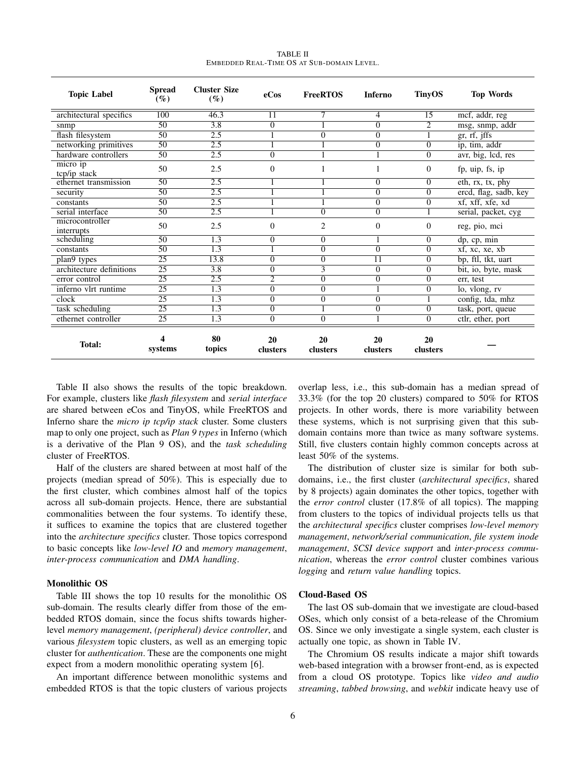| <b>Topic Label</b>            | <b>Spread</b><br>$(\%)$ | <b>Cluster Size</b><br>$(\%)$ | eCos             | <b>FreeRTOS</b>  | <b>Inferno</b> | <b>TinyOS</b>  | <b>Top Words</b>      |
|-------------------------------|-------------------------|-------------------------------|------------------|------------------|----------------|----------------|-----------------------|
| architectural specifics       | 100                     | 46.3                          | 11               |                  | 4              | 15             | mcf, addr, reg        |
| snmp                          | $\overline{50}$         | $\overline{3.8}$              | $\overline{0}$   |                  | 0              | $\overline{2}$ | msg, snmp, addr       |
| flash filesystem              | $\overline{50}$         | 2.5                           |                  | $\overline{0}$   | 0              |                | gr, rf, jffs          |
| networking primitives         | $\overline{50}$         | 2.5                           |                  |                  | 0              | 0              | ip, tim, addr         |
| hardware controllers          | $\overline{50}$         | 2.5                           | $\overline{0}$   |                  |                | 0              | avr, big, lcd, res    |
| micro ip<br>tcp/ip stack      | 50                      | 2.5                           | $\overline{0}$   | 1                |                | 0              | fp, uip, fs, ip       |
| ethernet transmission         | 50                      | 2.5                           |                  |                  | 0              | 0              | eth, rx, tx, phy      |
| security                      | 50                      | 2.5                           |                  |                  | 0              | 0              | ercd, flag, sadb, key |
| constants                     | 50                      | 2.5                           |                  |                  | 0              | 0              | xf, xff, xfe, xd      |
| serial interface              | $\overline{50}$         | 2.5                           |                  | $\overline{0}$   | $\overline{0}$ |                | serial, packet, cyg   |
| microcontroller<br>interrupts | 50                      | 2.5                           | $\Omega$         | $\mathbf{2}$     | $\mathbf{0}$   | 0              | reg, pio, mci         |
| scheduling                    | $\overline{50}$         | $\overline{1.3}$              | $\boldsymbol{0}$ | $\overline{0}$   |                | 0              | dp, cp, min           |
| constants                     | 50                      | 1.3                           |                  | $\overline{0}$   | 0              | 0              | xf, xc, xe, xb        |
| plan9 types                   | 25                      | 13.8                          | 0                | $\overline{0}$   | 11             | 0              | bp, ftl, tkt, uart    |
| architecture definitions      | $\overline{25}$         | $\overline{3.8}$              | $\overline{0}$   | $\overline{3}$   | $\overline{0}$ | 0              | bit, io, byte, mask   |
| error control                 | 25                      | 2.5                           | $\overline{2}$   | $\overline{0}$   | 0              | 0              | err, test             |
| inferno vlrt runtime          | $\overline{25}$         | $\overline{1.3}$              | $\overline{0}$   | $\overline{0}$   |                | 0              | lo, vlong, rv         |
| clock                         | $\overline{25}$         | 1.3                           | $\overline{0}$   | $\overline{0}$   | 0              |                | config, tda, mhz      |
| task scheduling               | $\overline{25}$         | 1.3                           | $\overline{0}$   |                  | 0              | 0              | task, port, queue     |
| ethernet controller           | 25                      | 1.3                           | $\boldsymbol{0}$ | $\boldsymbol{0}$ |                | 0              | ctlr, ether, port     |
| <b>Total:</b>                 | 4<br>systems            | 80<br>topics                  | 20<br>clusters   | 20<br>clusters   | 20<br>clusters | 20<br>clusters |                       |

| <b>TABLE II</b>                            |  |  |  |  |  |
|--------------------------------------------|--|--|--|--|--|
| EMBEDDED REAL-TIME OS AT SUB-DOMAIN LEVEL. |  |  |  |  |  |

Table II also shows the results of the topic breakdown. For example, clusters like *flash filesystem* and *serial interface* are shared between eCos and TinyOS, while FreeRTOS and Inferno share the *micro ip tcp/ip stack* cluster. Some clusters map to only one project, such as *Plan 9 types* in Inferno (which is a derivative of the Plan 9 OS), and the *task scheduling* cluster of FreeRTOS.

Half of the clusters are shared between at most half of the projects (median spread of 50%). This is especially due to the first cluster, which combines almost half of the topics across all sub-domain projects. Hence, there are substantial commonalities between the four systems. To identify these, it suffices to examine the topics that are clustered together into the *architecture specifics* cluster. Those topics correspond to basic concepts like *low-level IO* and *memory management*, *inter-process communication* and *DMA handling*.

## Monolithic OS

Table III shows the top 10 results for the monolithic OS sub-domain. The results clearly differ from those of the embedded RTOS domain, since the focus shifts towards higherlevel *memory management*, *(peripheral) device controller*, and various *filesystem* topic clusters, as well as an emerging topic cluster for *authentication*. These are the components one might expect from a modern monolithic operating system [6].

An important difference between monolithic systems and embedded RTOS is that the topic clusters of various projects overlap less, i.e., this sub-domain has a median spread of 33.3% (for the top 20 clusters) compared to 50% for RTOS projects. In other words, there is more variability between these systems, which is not surprising given that this subdomain contains more than twice as many software systems. Still, five clusters contain highly common concepts across at least 50% of the systems.

The distribution of cluster size is similar for both subdomains, i.e., the first cluster (*architectural specifics*, shared by 8 projects) again dominates the other topics, together with the *error control* cluster (17.8% of all topics). The mapping from clusters to the topics of individual projects tells us that the *architectural specifics* cluster comprises *low-level memory management*, *network/serial communication*, *file system inode management*, *SCSI device support* and *inter-process communication*, whereas the *error control* cluster combines various *logging* and *return value handling* topics.

## Cloud-Based OS

The last OS sub-domain that we investigate are cloud-based OSes, which only consist of a beta-release of the Chromium OS. Since we only investigate a single system, each cluster is actually one topic, as shown in Table IV.

The Chromium OS results indicate a major shift towards web-based integration with a browser front-end, as is expected from a cloud OS prototype. Topics like *video and audio streaming*, *tabbed browsing*, and *webkit* indicate heavy use of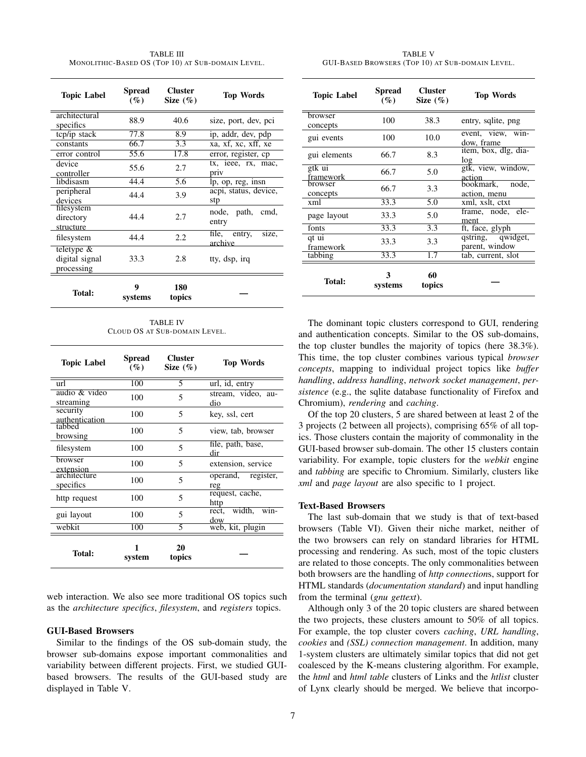TABLE III MONOLITHIC-BASED OS (TOP 10) AT SUB-DOMAIN LEVEL.

| <b>Topic Label</b>                            | Spread<br>$($ %)  | <b>Cluster</b><br>Size $(\%)$ | <b>Top Words</b>                 |  |
|-----------------------------------------------|-------------------|-------------------------------|----------------------------------|--|
| architectural<br>specifics                    | 88.9              | 40.6                          | size, port, dev, pci             |  |
| tcp/ip stack                                  | 77.8              | 8.9                           | ip, addr, dev, pdp               |  |
| constants                                     | 66.7              | 3.3                           | xa, xf, xc, xff, xe              |  |
| error control                                 | $\overline{55.6}$ | 17.8                          | error, register, cp              |  |
| device<br>controller                          | 55.6              | 2.7                           | tx, ieee, rx, mac,<br>priv       |  |
| libdisasm                                     | 44.4              | 5.6                           | lp, op, reg, insn                |  |
| peripheral<br>devices                         | 44.4              | 3.9                           | acpi, status, device,<br>stp     |  |
| filesystem<br>directory<br>structure          | 44.4              | 2.7                           | node, path,<br>cmd,<br>entry     |  |
| filesystem                                    | 44.4              | 2.2                           | file, entry,<br>size,<br>archive |  |
| teletype $\&$<br>digital signal<br>processing | 33.3              | 2.8                           | tty, dsp, irq                    |  |
| <b>Total:</b>                                 | 9<br>systems      | 180<br>topics                 |                                  |  |

TABLE IV CLOUD OS AT SUB-DOMAIN LEVEL.

| <b>Topic Label</b>                     | <b>Spread</b><br>$(\%)$ | Cluster<br>Size $(\%)$   | <b>Top Words</b>            |
|----------------------------------------|-------------------------|--------------------------|-----------------------------|
| url                                    | 100                     | 5                        | url, id, entry              |
| audio & video<br>streaming             | 100                     | 5                        | stream, video, au-<br>dio   |
| security<br>authentication<br>tabbed   | 100                     | 5                        | key, ssl, cert              |
| browsing                               | 100                     | 5                        | view, tab, browser          |
| filesystem                             | 100                     | 5                        | file, path, base,<br>dir    |
| browser                                | 100                     | 5                        | extension, service          |
| extension<br>architecture<br>specifics | 100                     | $\overline{\phantom{0}}$ | operand, register,<br>reg   |
| http request                           | 100                     | 5                        | request, cache,<br>http     |
| gui layout                             | 100                     | 5                        | rect, width,<br>win-<br>dow |
| webkit                                 | 100                     | 5                        | web, kit, plugin            |
| Total:                                 | 1<br>system             | 20<br>topics             |                             |

web interaction. We also see more traditional OS topics such as the *architecture specifics*, *filesystem*, and *registers* topics.

# GUI-Based Browsers

Similar to the findings of the OS sub-domain study, the browser sub-domains expose important commonalities and variability between different projects. First, we studied GUIbased browsers. The results of the GUI-based study are displayed in Table V.

TABLE V GUI-BASED BROWSERS (TOP 10) AT SUB-DOMAIN LEVEL.

| <b>Topic Label</b>         | <b>Spread</b><br>$($ %) | <b>Cluster</b><br>Size $(\%)$ | <b>Top Words</b>                    |
|----------------------------|-------------------------|-------------------------------|-------------------------------------|
| browser<br>concepts        | 100                     | 38.3                          | entry, sqlite, png                  |
| gui events                 | 100                     | 10.0                          | event, view, win-<br>dow, frame     |
| gui elements               | 66.7                    | 8.3                           | item, box, dlg, dia-<br>log         |
| gtk ui<br>framework        | 66.7                    | 5.0                           | gtk, view, window,<br>action        |
| <b>browser</b><br>concepts | 66.7                    | 3.3                           | bookmark, node,<br>action, menu     |
| xml                        | 33.3                    | 5.0                           | xml, xslt, ctxt                     |
| page layout                | 33.3                    | 5.0                           | frame, node, ele-<br>ment           |
| fonts                      | 33.3                    | 3.3                           | ft, face, glyph                     |
| qt ui<br>framework         | 33.3                    | 3.3                           | qstring, qwidget,<br>parent, window |
| tabbing                    | $33.\overline{3}$       | 1.7                           | tab, current, slot                  |
| Total:                     | 3<br>systems            | 60<br>topics                  |                                     |

The dominant topic clusters correspond to GUI, rendering and authentication concepts. Similar to the OS sub-domains, the top cluster bundles the majority of topics (here 38.3%). This time, the top cluster combines various typical *browser concepts*, mapping to individual project topics like *buffer handling*, *address handling*, *network socket management*, *persistence* (e.g., the sqlite database functionality of Firefox and Chromium), *rendering* and *caching*.

Of the top 20 clusters, 5 are shared between at least 2 of the 3 projects (2 between all projects), comprising 65% of all topics. Those clusters contain the majority of commonality in the GUI-based browser sub-domain. The other 15 clusters contain variability. For example, topic clusters for the *webkit* engine and *tabbing* are specific to Chromium. Similarly, clusters like *xml* and *page layout* are also specific to 1 project.

# Text-Based Browsers

The last sub-domain that we study is that of text-based browsers (Table VI). Given their niche market, neither of the two browsers can rely on standard libraries for HTML processing and rendering. As such, most of the topic clusters are related to those concepts. The only commonalities between both browsers are the handling of *http connection*s, support for HTML standards (*documentation standard*) and input handling from the terminal (*gnu gettext*).

Although only 3 of the 20 topic clusters are shared between the two projects, these clusters amount to 50% of all topics. For example, the top cluster covers *caching*, *URL handling*, *cookies* and *(SSL) connection management*. In addition, many 1-system clusters are ultimately similar topics that did not get coalesced by the K-means clustering algorithm. For example, the *html* and *html table* clusters of Links and the *htlist* cluster of Lynx clearly should be merged. We believe that incorpo-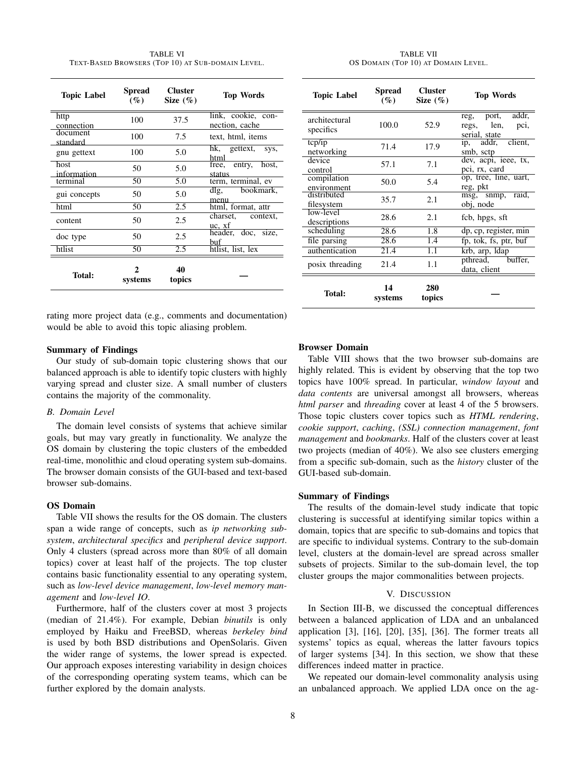TABLE VI TEXT-BASED BROWSERS (TOP 10) AT SUB-DOMAIN LEVEL.

| <b>Topic Label</b>   | Spread<br>$($ %) | <b>Cluster</b><br>Size $(\%)$ | <b>Top Words</b>                     |
|----------------------|------------------|-------------------------------|--------------------------------------|
| http<br>connection   | 100              | 37.5                          | link, cookie, con-<br>nection, cache |
| document<br>standard | 100              | 7.5                           | text, html, items                    |
| gnu gettext          | 100              | 5.0                           | hk, gettext,<br>SVS,<br>html         |
| host<br>information  | 50               | 5.0                           | free, entry, host,<br>status         |
| terminal             | 50               | 5.0                           | term, terminal, ev                   |
| gui concepts         | 50               | 5.0                           | bookmark,<br>dlg,<br>menu            |
| html                 | 50               | 2.5                           | html, format, attr                   |
| content              | 50               | 2.5                           | charset,<br>context,<br>uc, xf       |
| doc type             | 50               | 2.5                           | header, doc, size,<br><b>buf</b>     |
| htlist               | 50               | 2.5                           | htlist, list, lex                    |
| <b>Total:</b>        | 2<br>systems     | 40<br>topics                  |                                      |

rating more project data (e.g., comments and documentation) would be able to avoid this topic aliasing problem.

#### Summary of Findings

Our study of sub-domain topic clustering shows that our balanced approach is able to identify topic clusters with highly varying spread and cluster size. A small number of clusters contains the majority of the commonality.

### *B. Domain Level*

The domain level consists of systems that achieve similar goals, but may vary greatly in functionality. We analyze the OS domain by clustering the topic clusters of the embedded real-time, monolithic and cloud operating system sub-domains. The browser domain consists of the GUI-based and text-based browser sub-domains.

# OS Domain

Table VII shows the results for the OS domain. The clusters span a wide range of concepts, such as *ip networking subsystem*, *architectural specifics* and *peripheral device support*. Only 4 clusters (spread across more than 80% of all domain topics) cover at least half of the projects. The top cluster contains basic functionality essential to any operating system, such as *low-level device management*, *low-level memory management* and *low-level IO*.

Furthermore, half of the clusters cover at most 3 projects (median of 21.4%). For example, Debian *binutils* is only employed by Haiku and FreeBSD, whereas *berkeley bind* is used by both BSD distributions and OpenSolaris. Given the wider range of systems, the lower spread is expected. Our approach exposes interesting variability in design choices of the corresponding operating system teams, which can be further explored by the domain analysts.

TABLE VII OS DOMAIN (TOP 10) AT DOMAIN LEVEL.

| <b>Topic Label</b>         | Spread<br>$($ %) | <b>Cluster</b><br>Size $(\%)$ | <b>Top Words</b>                                           |  |
|----------------------------|------------------|-------------------------------|------------------------------------------------------------|--|
| architectural<br>specifics | 100.0            | 52.9                          | addr,<br>reg, port,<br>regs, len,<br>pci,<br>serial, state |  |
| $tcp$ /ip<br>networking    | 71.4             | 17.9                          | ip, addr, client,<br>smb, sctp                             |  |
| device<br>control          | 57.1             | 7.1                           | dev, acpi, ieee, tx,<br>pci, rx, card                      |  |
| compilation<br>environment | 50.0             | 5.4                           | op, tree, line, uart,<br>reg, pkt                          |  |
| distributed<br>filesystem  | 35.7             | 2.1                           | msg, snmp,<br>raid,<br>obj, node                           |  |
| low-level<br>descriptions  | 28.6             | 2.1                           | fcb, hpgs, sft                                             |  |
| scheduling                 | 28.6             | 1.8                           | dp, cp, register, min                                      |  |
| file parsing               | 28.6             | 1.4                           | fp, tok, fs, ptr, buf                                      |  |
| authentication             | 21.4             | 1.1                           | krb, arp, Idap                                             |  |
| posix threading            | 21.4             | 1.1                           | pthread, buffer,<br>data, client                           |  |
| Total:                     | 14<br>systems    | 280<br>topics                 |                                                            |  |

## Browser Domain

Table VIII shows that the two browser sub-domains are highly related. This is evident by observing that the top two topics have 100% spread. In particular, *window layout* and *data contents* are universal amongst all browsers, whereas *html parser* and *threading* cover at least 4 of the 5 browsers. Those topic clusters cover topics such as *HTML rendering*, *cookie support*, *caching*, *(SSL) connection management*, *font management* and *bookmarks*. Half of the clusters cover at least two projects (median of 40%). We also see clusters emerging from a specific sub-domain, such as the *history* cluster of the GUI-based sub-domain.

## Summary of Findings

The results of the domain-level study indicate that topic clustering is successful at identifying similar topics within a domain, topics that are specific to sub-domains and topics that are specific to individual systems. Contrary to the sub-domain level, clusters at the domain-level are spread across smaller subsets of projects. Similar to the sub-domain level, the top cluster groups the major commonalities between projects.

# V. DISCUSSION

In Section III-B, we discussed the conceptual differences between a balanced application of LDA and an unbalanced application [3], [16], [20], [35], [36]. The former treats all systems' topics as equal, whereas the latter favours topics of larger systems [34]. In this section, we show that these differences indeed matter in practice.

We repeated our domain-level commonality analysis using an unbalanced approach. We applied LDA once on the ag-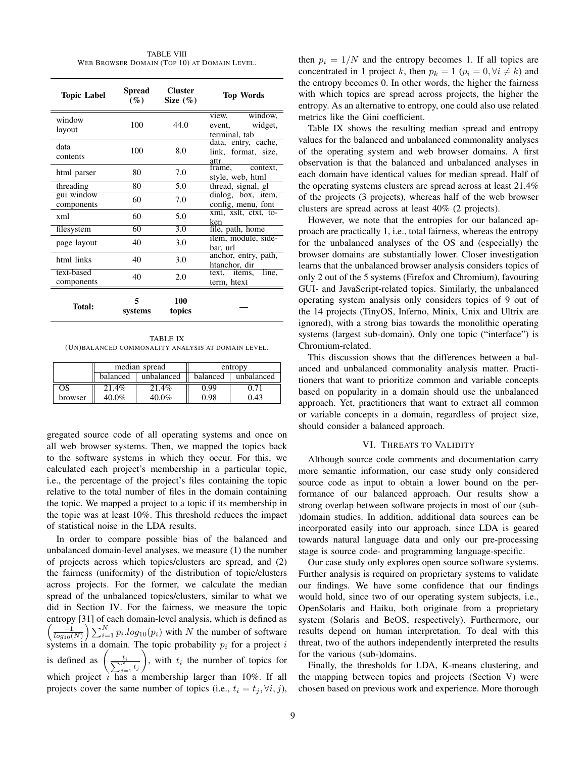TABLE VIII WEB BROWSER DOMAIN (TOP 10) AT DOMAIN LEVEL.

| <b>Topic Label</b>       | Spread<br>$(\%)$ | <b>Cluster</b><br>Size $(\%)$ | <b>Top Words</b>                                       |
|--------------------------|------------------|-------------------------------|--------------------------------------------------------|
| window<br>layout         | 100              | 44.0                          | window.<br>view,<br>widget,<br>event,<br>terminal, tab |
| data<br>contents         | 100              | 8.0                           | data, entry, cache,<br>link, format, size,<br>attr     |
| html parser              | 80               | 7.0                           | frame,<br>context.<br>style, web, html                 |
| threading                | 80               | 5.0                           | thread, signal, gl                                     |
| gui window<br>components | 60               | 7.0                           | dialog, box, item,<br>config, menu, font               |
| xml                      | 60               | 5.0                           | xml, xslt, ctxt, to-<br>ken                            |
| filesystem               | 60               | 3.0                           | file, path, home                                       |
| page layout              | 40               | 3.0                           | item, module, side-<br>bar, url                        |
| html links               | 40               | 3.0                           | anchor, entry, path,<br>htanchor, dir                  |
| text-based<br>components | 40               | 2.0                           | text, items,<br>line,<br>term, htext                   |
| <b>Total:</b>            | 5<br>systems     | 100<br>topics                 |                                                        |

TABLE IX (UN)BALANCED COMMONALITY ANALYSIS AT DOMAIN LEVEL.

|         |          | median spread |          | entropy    |
|---------|----------|---------------|----------|------------|
|         | balanced | unbalanced    | balanced | unbalanced |
| OS      | 21.4%    | 21.4%         | 0.99     | 271        |
| browser | $40.0\%$ | 40.0%         | 0.98     | 0.43       |

gregated source code of all operating systems and once on all web browser systems. Then, we mapped the topics back to the software systems in which they occur. For this, we calculated each project's membership in a particular topic, i.e., the percentage of the project's files containing the topic relative to the total number of files in the domain containing the topic. We mapped a project to a topic if its membership in the topic was at least 10%. This threshold reduces the impact of statistical noise in the LDA results.

In order to compare possible bias of the balanced and unbalanced domain-level analyses, we measure (1) the number of projects across which topics/clusters are spread, and (2) the fairness (uniformity) of the distribution of topic/clusters across projects. For the former, we calculate the median spread of the unbalanced topics/clusters, similar to what we did in Section IV. For the fairness, we measure the topic entropy [31] of each domain-level analysis, which is defined as  $\left(\frac{-1}{\log_{10}(N)}\right) \sum_{i=1}^{N} p_i \cdot \log_{10}(p_i)$  with N the number of software systems in a domain. The topic probability  $p_i$  for a project i is defined as  $\left(\frac{t_i}{\sum_{j=1}^N t_j}\right)$ ), with  $t_i$  the number of topics for which project  $i$  has a membership larger than 10%. If all projects cover the same number of topics (i.e.,  $t_i = t_j, \forall i, j$ ), then  $p_i = 1/N$  and the entropy becomes 1. If all topics are concentrated in 1 project k, then  $p_k = 1$   $(p_i = 0, \forall i \neq k)$  and the entropy becomes 0. In other words, the higher the fairness with which topics are spread across projects, the higher the entropy. As an alternative to entropy, one could also use related metrics like the Gini coefficient.

Table IX shows the resulting median spread and entropy values for the balanced and unbalanced commonality analyses of the operating system and web browser domains. A first observation is that the balanced and unbalanced analyses in each domain have identical values for median spread. Half of the operating systems clusters are spread across at least 21.4% of the projects (3 projects), whereas half of the web browser clusters are spread across at least 40% (2 projects).

However, we note that the entropies for our balanced approach are practically 1, i.e., total fairness, whereas the entropy for the unbalanced analyses of the OS and (especially) the browser domains are substantially lower. Closer investigation learns that the unbalanced browser analysis considers topics of only 2 out of the 5 systems (Firefox and Chromium), favouring GUI- and JavaScript-related topics. Similarly, the unbalanced operating system analysis only considers topics of 9 out of the 14 projects (TinyOS, Inferno, Minix, Unix and Ultrix are ignored), with a strong bias towards the monolithic operating systems (largest sub-domain). Only one topic ("interface") is Chromium-related.

This discussion shows that the differences between a balanced and unbalanced commonality analysis matter. Practitioners that want to prioritize common and variable concepts based on popularity in a domain should use the unbalanced approach. Yet, practitioners that want to extract all common or variable concepts in a domain, regardless of project size, should consider a balanced approach.

#### VI. THREATS TO VALIDITY

Although source code comments and documentation carry more semantic information, our case study only considered source code as input to obtain a lower bound on the performance of our balanced approach. Our results show a strong overlap between software projects in most of our (sub- )domain studies. In addition, additional data sources can be incorporated easily into our approach, since LDA is geared towards natural language data and only our pre-processing stage is source code- and programming language-specific.

Our case study only explores open source software systems. Further analysis is required on proprietary systems to validate our findings. We have some confidence that our findings would hold, since two of our operating system subjects, i.e., OpenSolaris and Haiku, both originate from a proprietary system (Solaris and BeOS, respectively). Furthermore, our results depend on human interpretation. To deal with this threat, two of the authors independently interpreted the results for the various (sub-)domains.

Finally, the thresholds for LDA, K-means clustering, and the mapping between topics and projects (Section V) were chosen based on previous work and experience. More thorough